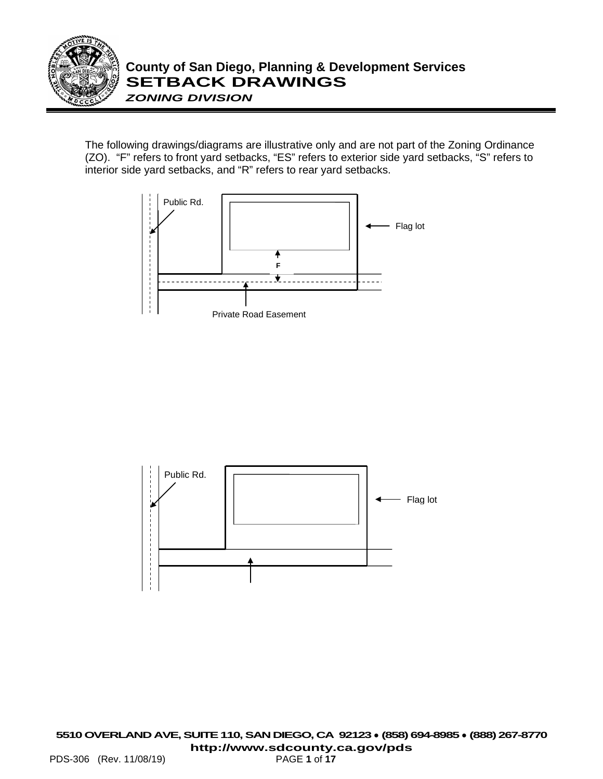

The following drawings/diagrams are illustrative only and are not part of the Zoning Ordinance (ZO). "F" refers to front yard setbacks, "ES" refers to exterior side yard setbacks, "S" refers to interior side yard setbacks, and "R" refers to rear yard setbacks.



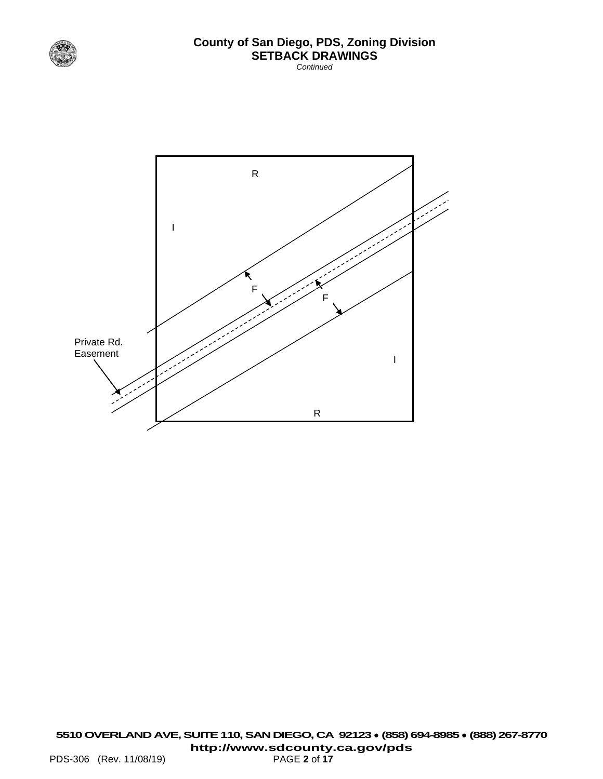

*Continued*

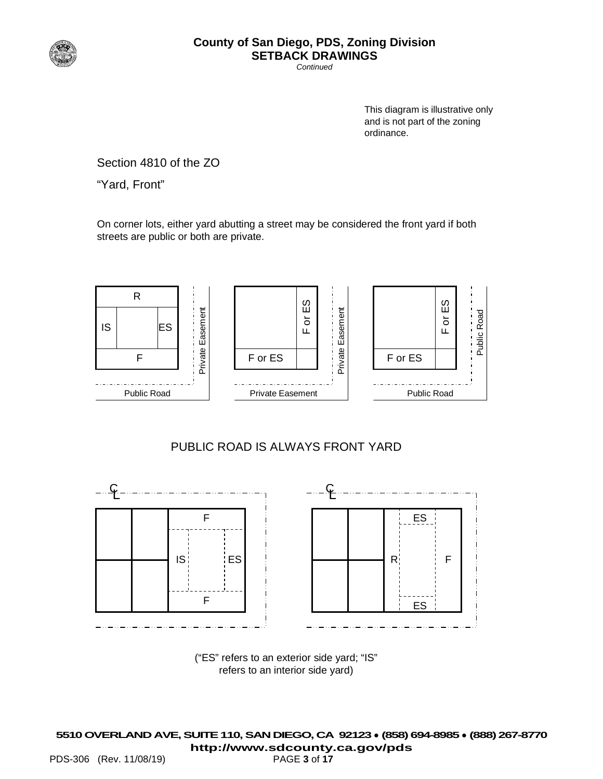

*Continued*

This diagram is illustrative only and is not part of the zoning ordinance.

Section 4810 of the ZO

"Yard, Front"

On corner lots, either yard abutting a street may be considered the front yard if both streets are public or both are private.



#### PUBLIC ROAD IS ALWAYS FRONT YARD



("ES" refers to an exterior side yard; "IS" refers to an interior side yard)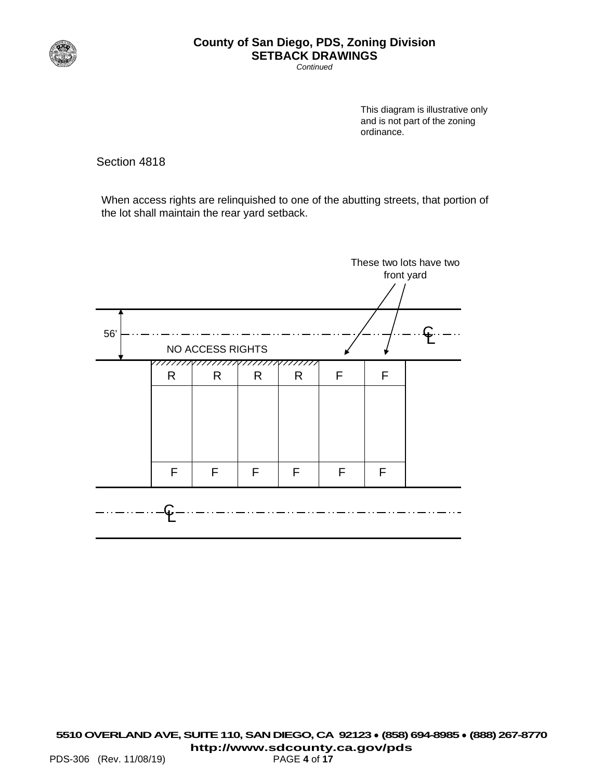

*Continued*

This diagram is illustrative only and is not part of the zoning ordinance.

Section 4818

When access rights are relinquished to one of the abutting streets, that portion of the lot shall maintain the rear yard setback.

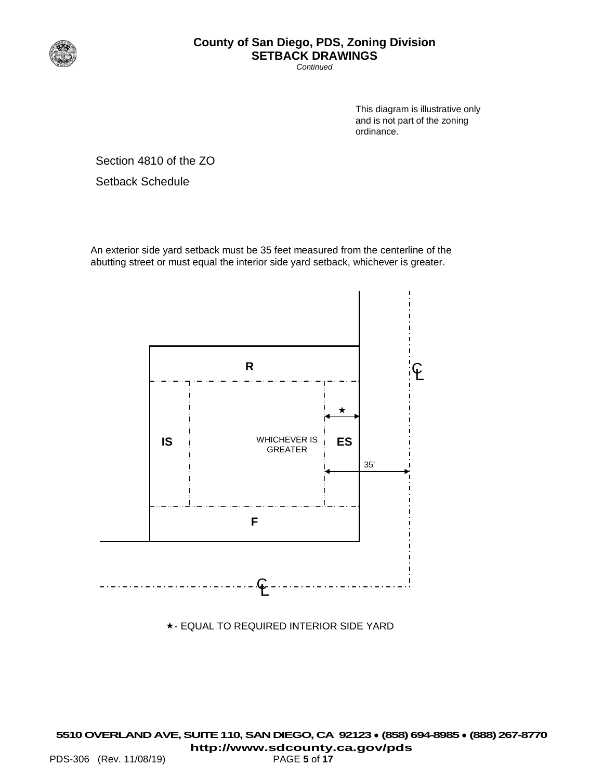

*Continued*

This diagram is illustrative only and is not part of the zoning ordinance.

Section 4810 of the ZO

Setback Schedule

An exterior side yard setback must be 35 feet measured from the centerline of the abutting street or must equal the interior side yard setback, whichever is greater.



- EQUAL TO REQUIRED INTERIOR SIDE YARD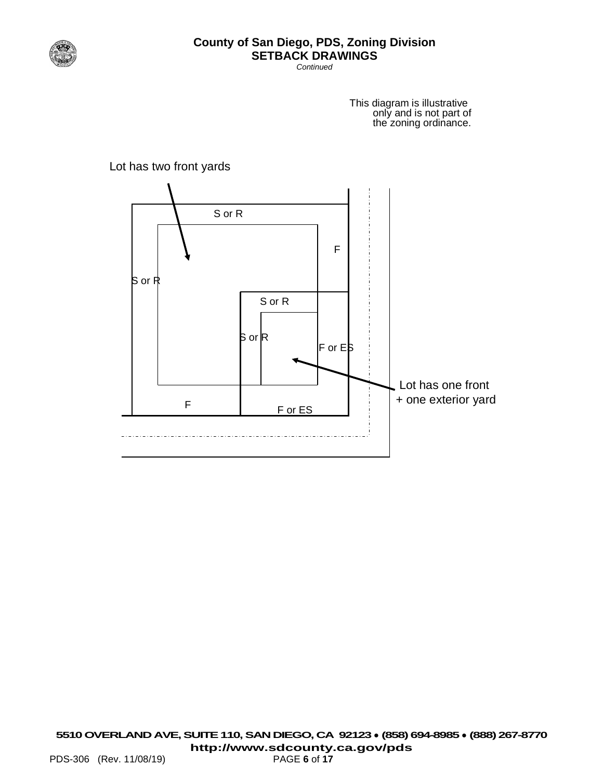

*Continued*

This diagram is illustrative only and is not part of the zoning ordinance.



Lot has two front yards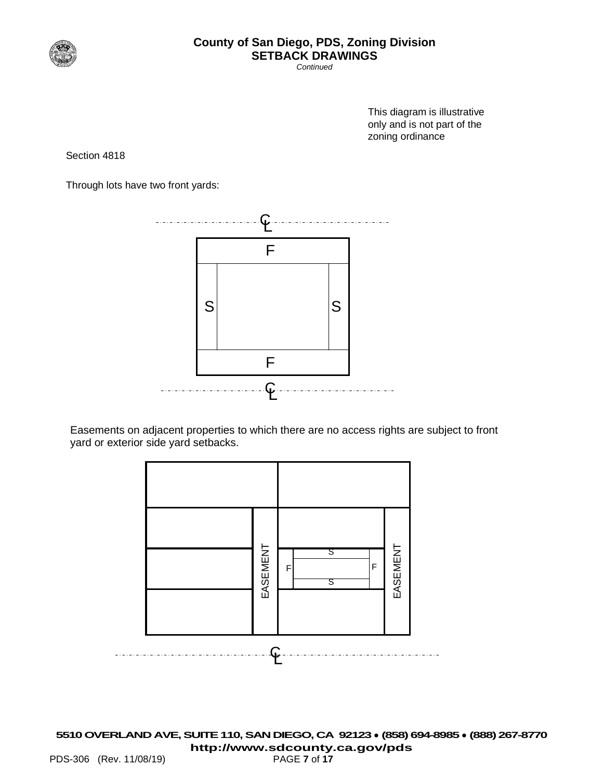

*Continued*

This diagram is illustrative only and is not part of the zoning ordinance

Section 4818

Through lots have two front yards:



Easements on adjacent properties to which there are no access rights are subject to front yard or exterior side yard setbacks.

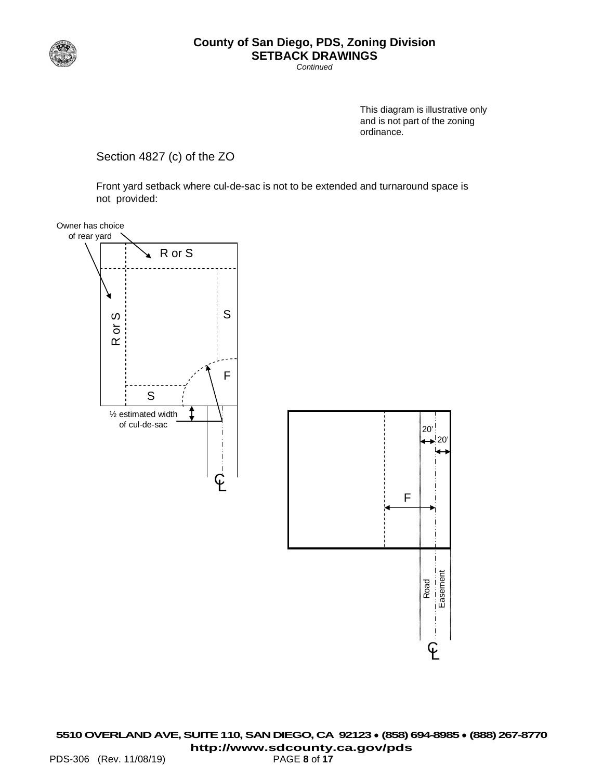

*Continued*

This diagram is illustrative only and is not part of the zoning ordinance.

Section 4827 (c) of the ZO

Front yard setback where cul-de-sac is not to be extended and turnaround space is not provided:

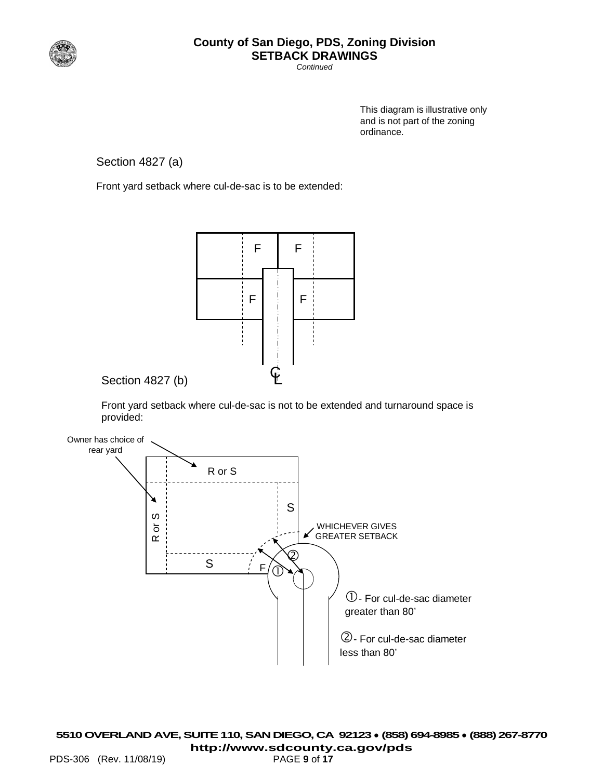

*Continued*

This diagram is illustrative only and is not part of the zoning ordinance.

Section 4827 (a)

Front yard setback where cul-de-sac is to be extended:



Section 4827 (b)

Front yard setback where cul-de-sac is not to be extended and turnaround space is provided:

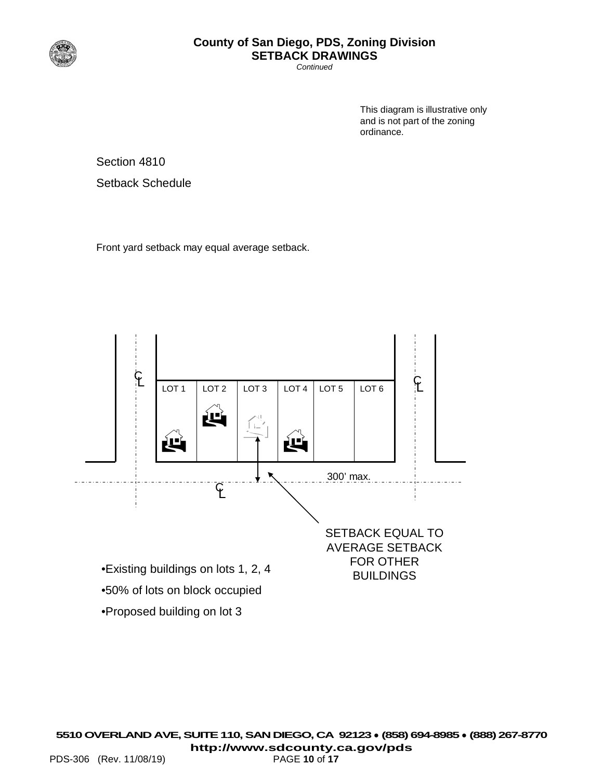

*Continued*

This diagram is illustrative only and is not part of the zoning ordinance.

Section 4810

Setback Schedule

Front yard setback may equal average setback.

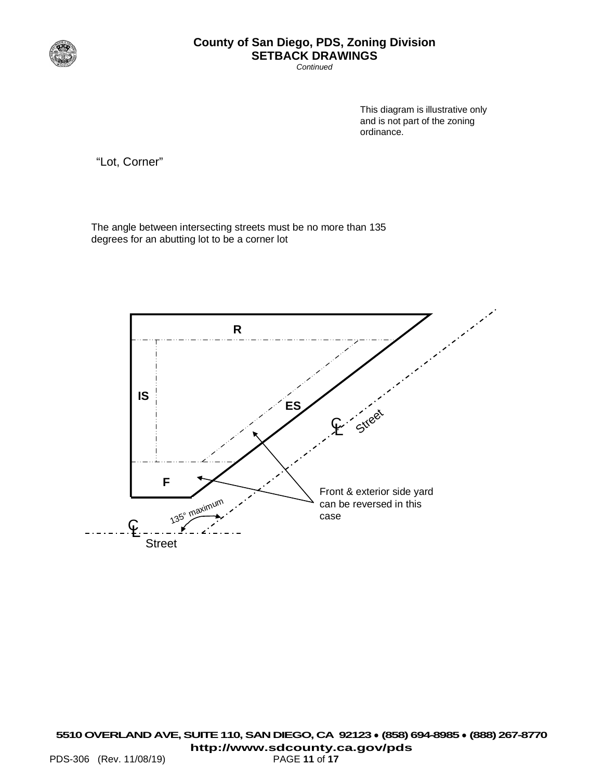

*Continued*

This diagram is illustrative only and is not part of the zoning ordinance.

"Lot, Corner"

The angle between intersecting streets must be no more than 135 degrees for an abutting lot to be a corner lot

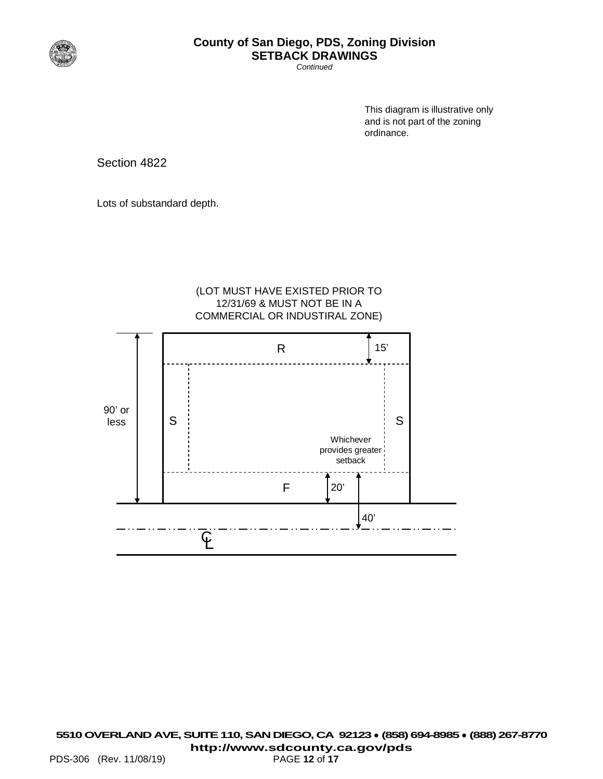

*Continued*

This diagram is illustrative only and is not part of the zoning ordinance.

Section 4822

Lots of substandard depth.

#### (LOT MUST HAVE EXISTED PRIOR TO 12/31/69 & MUST NOT BE IN A COMMERCIAL OR INDUSTIRAL ZONE)

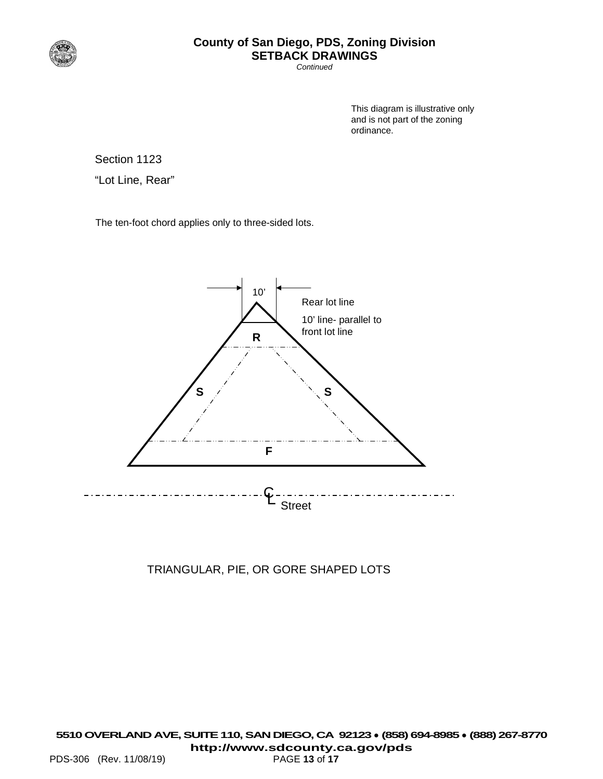

*Continued*

This diagram is illustrative only and is not part of the zoning ordinance.

Section 1123

"Lot Line, Rear"

The ten-foot chord applies only to three-sided lots.



TRIANGULAR, PIE, OR GORE SHAPED LOTS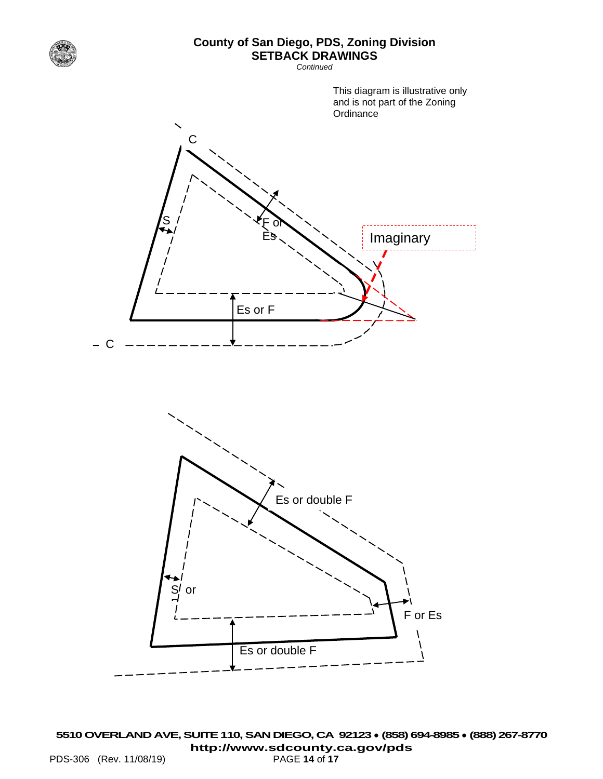

*Continued*

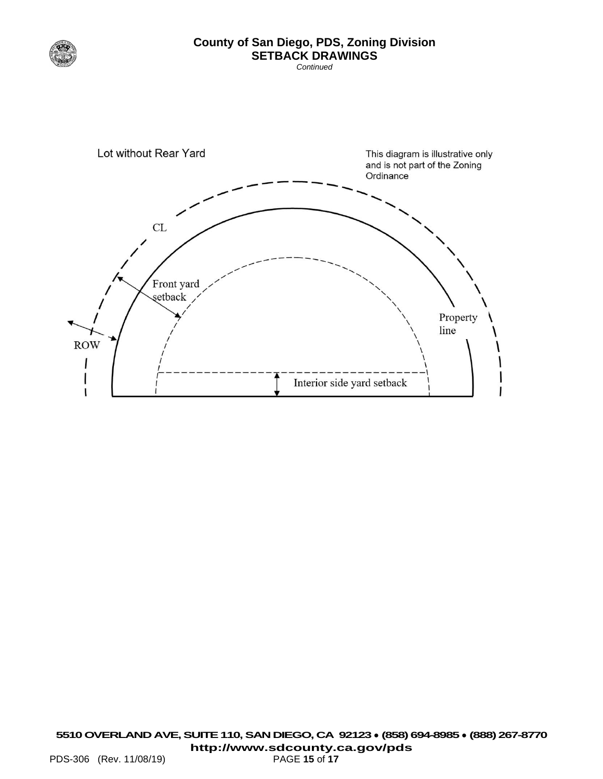

*Continued*

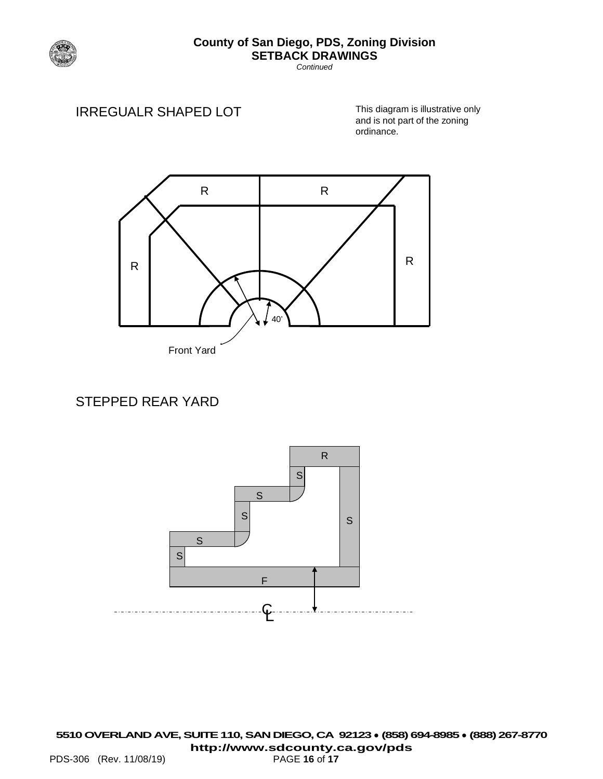

*Continued*

## IRREGUALR SHAPED LOT

This diagram is illustrative only and is not part of the zoning ordinance.



# STEPPED REAR YARD